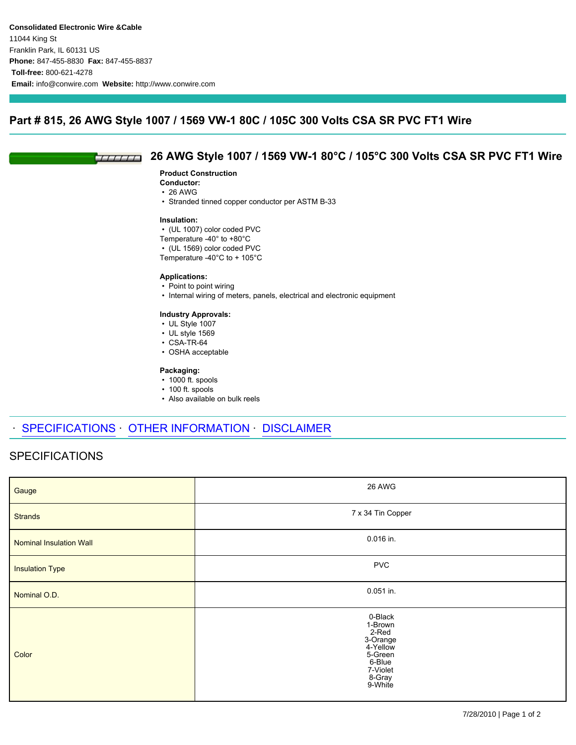## **Part # 815, 26 AWG Style 1007 / 1569 VW-1 80C / 105C 300 Volts CSA SR PVC FT1 Wire**

#### **26 AWG Style 1007 / 1569 VW-1 80°C / 105°C 300 Volts CSA SR PVC FT1 Wire**  $TTITIT$

### **Product Construction**

- **Conductor:**
- 26 AWG
- Stranded tinned copper conductor per ASTM B-33

#### **Insulation:**

- (UL 1007) color coded PVC
- Temperature -40° to +80°C
- (UL 1569) color coded PVC
- Temperature -40°C to + 105°C

### **Applications:**

- Point to point wiring
- Internal wiring of meters, panels, electrical and electronic equipment

### **Industry Approvals:**

- UL Style 1007
- UL style 1569
- CSA-TR-64
- OSHA acceptable

### **Packaging:**

- 1000 ft. spools
- 100 ft. spools
- Also available on bulk reels

# SPECIFICATIONS OTHER INFORMATION DISCLAIMER

# SPECIFICATIONS

| Gauge                          | 26 AWG                                                                                                    |
|--------------------------------|-----------------------------------------------------------------------------------------------------------|
| <b>Strands</b>                 | 7 x 34 Tin Copper                                                                                         |
| <b>Nominal Insulation Wall</b> | 0.016 in.                                                                                                 |
| <b>Insulation Type</b>         | <b>PVC</b>                                                                                                |
| Nominal O.D.                   | $0.051$ in.                                                                                               |
| Color                          | 0-Black<br>1-Brown<br>2-Red<br>3-Orange<br>4-Yellow<br>5-Green<br>6-Blue<br>7-Violet<br>8-Gray<br>9-White |